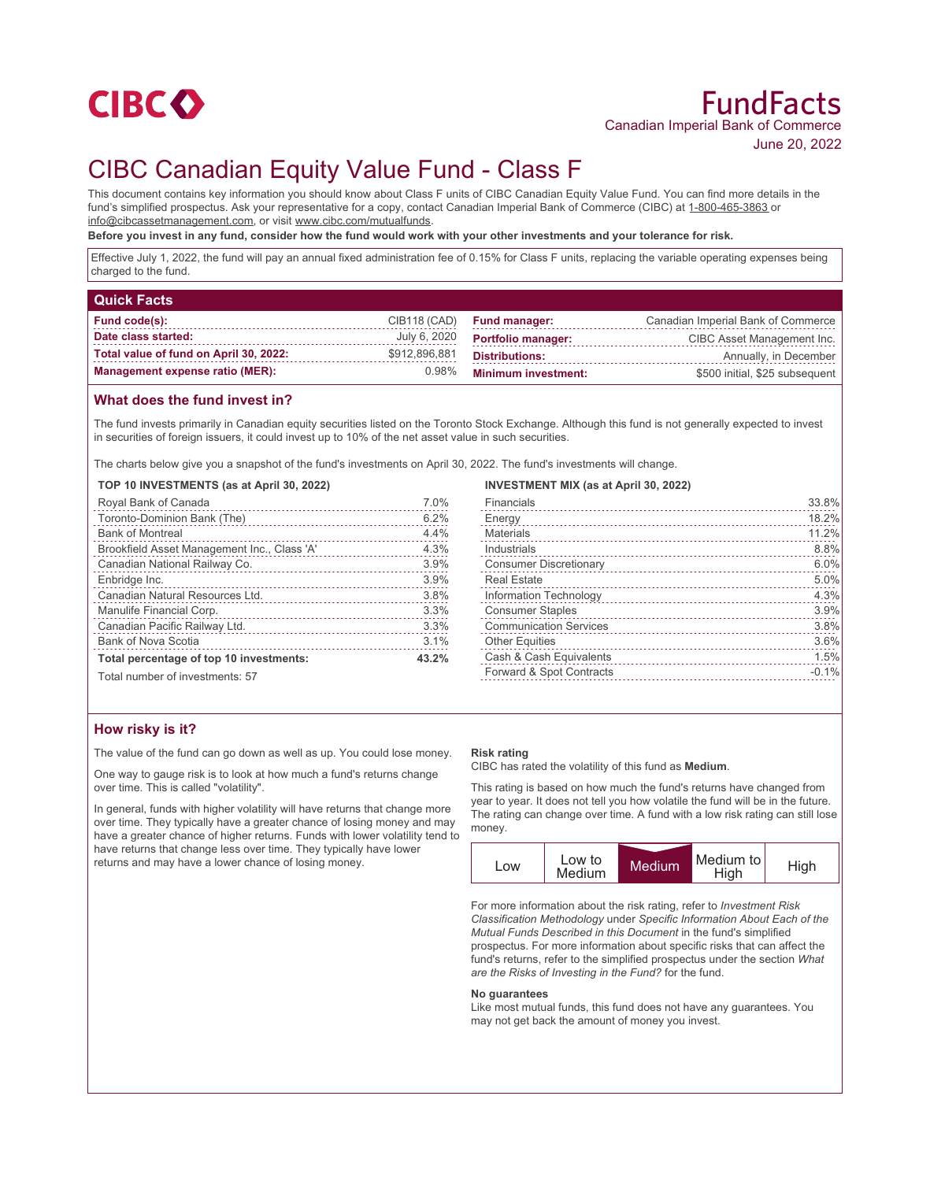

# CIBC Canadian Equity Value Fund - Class F

This document contains key information you should know about Class F units of CIBC Canadian Equity Value Fund. You can find more details in the fund's simplified prospectus. Ask your representative for a copy, contact Canadian Imperial Bank of Commerce (CIBC) at 1-800-465-3863 or info@cibcassetmanagement.com, or visit www.cibc.com/mutualfunds.

**Before you invest in any fund, consider how the fund would work with your other investments and your tolerance for risk.**

Effective July 1, 2022, the fund will pay an annual fixed administration fee of 0.15% for Class F units, replacing the variable operating expenses being charged to the fund.

| <b>Quick Facts</b>                     |               |                            |                                    |
|----------------------------------------|---------------|----------------------------|------------------------------------|
| <b>Fund code(s):</b>                   | CIB118 (CAD)  | <b>Fund manager:</b>       | Canadian Imperial Bank of Commerce |
| Date class started:                    | July 6, 2020  | <b>Portfolio manager:</b>  | CIBC Asset Management Inc.         |
| Total value of fund on April 30, 2022: | \$912,896,881 | <b>Distributions:</b>      | Annually, in December              |
| <b>Management expense ratio (MER):</b> | 0.98%         | <b>Minimum investment:</b> | \$500 initial, \$25 subsequent     |

## **What does the fund invest in?**

The fund invests primarily in Canadian equity securities listed on the Toronto Stock Exchange. Although this fund is not generally expected to invest in securities of foreign issuers, it could invest up to 10% of the net asset value in such securities.

The charts below give you a snapshot of the fund's investments on April 30, 2022. The fund's investments will change.

**TOP 10 INVESTMENTS (as at April 30, 2022)**

| Royal Bank of Canada                        | 7.0%  |
|---------------------------------------------|-------|
| Toronto-Dominion Bank (The)                 | 6.2%  |
| <b>Bank of Montreal</b>                     | 4.4%  |
| Brookfield Asset Management Inc., Class 'A' | 4.3%  |
| Canadian National Railway Co.               | 3.9%  |
| Enbridge Inc.                               | 3.9%  |
| Canadian Natural Resources Ltd.             | 3.8%  |
| Manulife Financial Corp.                    | 3.3%  |
| Canadian Pacific Railway Ltd.               | 3.3%  |
| <b>Bank of Nova Scotia</b>                  | 3.1%  |
| Total percentage of top 10 investments:     | 43.2% |
|                                             |       |

Total number of investments: 57

## **How risky is it?**

The value of the fund can go down as well as up. You could lose money.

One way to gauge risk is to look at how much a fund's returns change over time. This is called "volatility".

In general, funds with higher volatility will have returns that change more over time. They typically have a greater chance of losing money and may have a greater chance of higher returns. Funds with lower volatility tend to have returns that change less over time. They typically have lower returns and may have a lower chance of losing money.

#### **INVESTMENT MIX (as at April 30, 2022)**

| Financials                    | 33.8%   |
|-------------------------------|---------|
| Energy                        | 18.2%   |
| <b>Materials</b>              | 11.2%   |
| Industrials                   | 8.8%    |
| <b>Consumer Discretionary</b> | 6.0%    |
| <b>Real Estate</b>            | 5.0%    |
| Information Technology        | 4.3%    |
| <b>Consumer Staples</b>       | 3.9%    |
| <b>Communication Services</b> | 3.8%    |
| <b>Other Equities</b>         | 3.6%    |
| Cash & Cash Equivalents       | 1.5%    |
| Forward & Spot Contracts      | $-0.1%$ |
|                               |         |

#### **Risk rating**

CIBC has rated the volatility of this fund as **Medium**.

This rating is based on how much the fund's returns have changed from year to year. It does not tell you how volatile the fund will be in the future. The rating can change over time. A fund with a low risk rating can still lose money.



For more information about the risk rating, refer to *Investment Risk Classification Methodology* under *Specific Information About Each of the Mutual Funds Described in this Document* in the fund's simplified prospectus. For more information about specific risks that can affect the fund's returns, refer to the simplified prospectus under the section *What are the Risks of Investing in the Fund?* for the fund.

#### **No guarantees**

Like most mutual funds, this fund does not have any guarantees. You may not get back the amount of money you invest.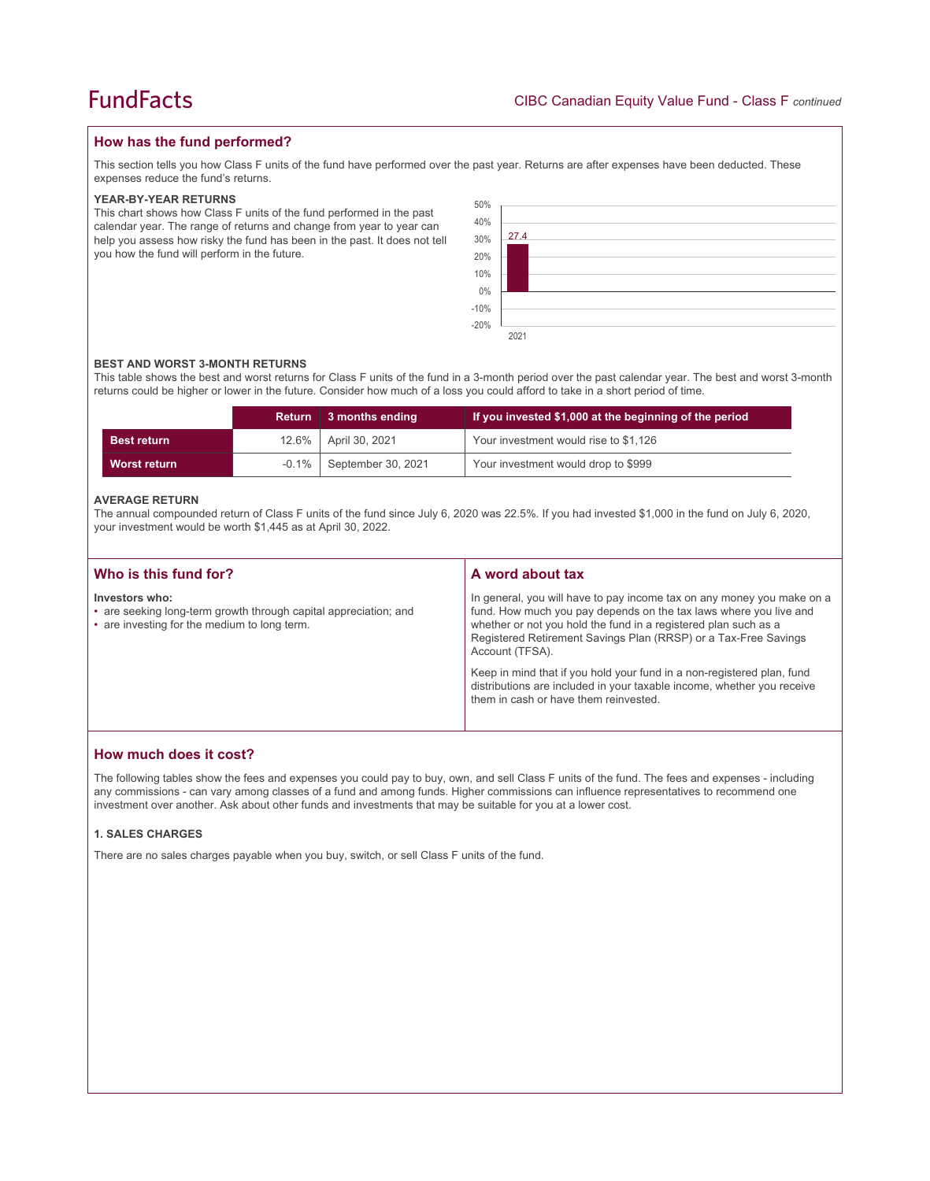## **How has the fund performed?**

This section tells you how Class F units of the fund have performed over the past year. Returns are after expenses have been deducted. These expenses reduce the fund's returns.

#### **YEAR-BY-YEAR RETURNS**

This chart shows how Class F units of the fund performed in the past calendar year. The range of returns and change from year to year can help you assess how risky the fund has been in the past. It does not tell you how the fund will perform in the future.



#### **BEST AND WORST 3-MONTH RETURNS**

This table shows the best and worst returns for Class F units of the fund in a 3-month period over the past calendar year. The best and worst 3-month returns could be higher or lower in the future. Consider how much of a loss you could afford to take in a short period of time.

|                    | <b>Return</b> | 3 months ending    | If you invested \$1,000 at the beginning of the period |
|--------------------|---------------|--------------------|--------------------------------------------------------|
| <b>Best return</b> | $12.6\%$      | April 30, 2021     | Your investment would rise to \$1,126                  |
| Worst return       | $-0.1\%$      | September 30, 2021 | Your investment would drop to \$999                    |

#### **AVERAGE RETURN**

The annual compounded return of Class F units of the fund since July 6, 2020 was 22.5%. If you had invested \$1,000 in the fund on July 6, 2020, your investment would be worth \$1,445 as at April 30, 2022.

| Who is this fund for?                                                                                                              | A word about tax                                                                                                                                                                                                                                                                                     |
|------------------------------------------------------------------------------------------------------------------------------------|------------------------------------------------------------------------------------------------------------------------------------------------------------------------------------------------------------------------------------------------------------------------------------------------------|
| Investors who:<br>• are seeking long-term growth through capital appreciation; and<br>• are investing for the medium to long term. | In general, you will have to pay income tax on any money you make on a<br>fund. How much you pay depends on the tax laws where you live and<br>whether or not you hold the fund in a registered plan such as a<br>Registered Retirement Savings Plan (RRSP) or a Tax-Free Savings<br>Account (TFSA). |
|                                                                                                                                    | Keep in mind that if you hold your fund in a non-registered plan, fund<br>distributions are included in your taxable income, whether you receive<br>them in cash or have them reinvested.                                                                                                            |

## **How much does it cost?**

The following tables show the fees and expenses you could pay to buy, own, and sell Class F units of the fund. The fees and expenses - including any commissions - can vary among classes of a fund and among funds. Higher commissions can influence representatives to recommend one investment over another. Ask about other funds and investments that may be suitable for you at a lower cost.

### **1. SALES CHARGES**

There are no sales charges payable when you buy, switch, or sell Class F units of the fund.